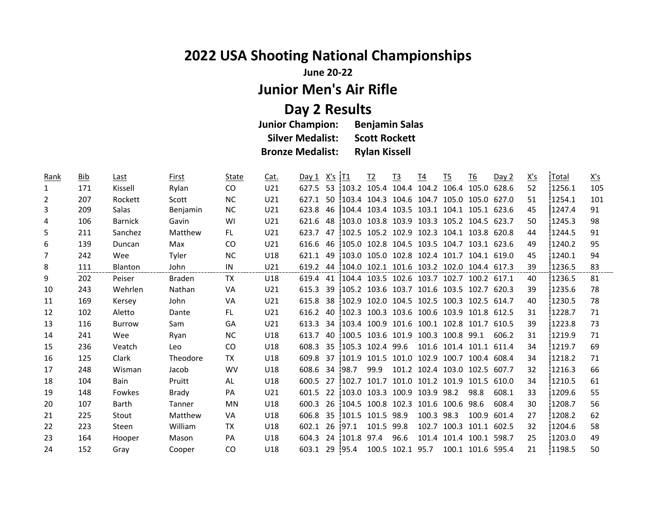## **2022 USA Shooting National Championships**

**June 20-22**

**Junior Men's Air Rifle**

**Day 2 Results Junior Champion: Silver Medalist: Scott Rockett Bronze Medalist: Rylan Kissell**

| Rank | <b>Bib</b> | Last           | First         | State     | Cat.            | Day 1    | $X's$ $IT1$ |                 | T <sub>2</sub> | <u>T3</u>                                    | T <sub>4</sub> | $\underline{15}$              | T <sub>6</sub>    | Day 2 | X's | Total  | X's |
|------|------------|----------------|---------------|-----------|-----------------|----------|-------------|-----------------|----------------|----------------------------------------------|----------------|-------------------------------|-------------------|-------|-----|--------|-----|
| 1    | 171        | Kissell        | Rylan         | CO        | U21             | 627.5    | 53          | 103.2           |                | 105.4 104.4 104.2 106.4 105.0                |                |                               |                   | 628.6 | 52  | 1256.1 | 105 |
| 2    | 207        | Rockett        | Scott         | <b>NC</b> | U21             | 627.1    |             | $50 \cdot 1034$ |                | 104.3 104.6 104.7 105.0 105.0 627.0          |                |                               |                   |       | 51  | 1254.1 | 101 |
| 3    | 209        | Salas          | Benjamin      | <b>NC</b> | U <sub>21</sub> | 623.8    | 46          | 104.4           |                | 103.4 103.5 103.1 104.1 105.1 623.6          |                |                               |                   |       | 45  | 1247.4 | 91  |
| 4    | 106        | <b>Barnick</b> | Gavin         | WI        | U21             | 621.6    | 48          | 103.0           |                | 103.8 103.9 103.3 105.2 104.5                |                |                               |                   | 623.7 | 50  | 1245.3 | 98  |
| 5    | 211        | Sanchez        | Matthew       | FL.       | U21             | 623.7    | 47          | 102.5           |                | 105.2 102.9 102.3 104.1 103.8 620.8          |                |                               |                   |       | 44  | 1244.5 | 91  |
| 6    | 139        | Duncan         | Max           | <b>CO</b> | U <sub>21</sub> | 616.6    |             | 46 105.0        |                | 102.8 104.5 103.5 104.7 103.1 623.6          |                |                               |                   |       | 49  | 1240.2 | 95  |
| 7    | 242        | Wee            | Tyler         | <b>NC</b> | U18             | 621.1    | 49          | 103.0           |                | 105.0 102.8 102.4 101.7 104.1 619.0          |                |                               |                   |       | 45  | 1240.1 | 94  |
| 8    | 111        | <b>Blanton</b> | John          | IN        | U21             | 619.2    |             |                 |                | 44 104.0 102.1 101.6 103.2 102.0 104.4 617.3 |                |                               |                   |       | 39  | 1236.5 | 83  |
| 9    | 202        | Peiser         | <b>Braden</b> | TX        | U18             | 619.4    |             |                 |                | 41 104.4 103.5 102.6 103.7 102.7 100.2 617.1 |                |                               |                   |       | 40  | 1236.5 | 81  |
| 10   | 243        | Wehrlen        | Nathan        | VA        | U21             | 615.3    | 39          |                 |                | 105.2 103.6 103.7 101.6 103.5 102.7 620.3    |                |                               |                   |       | 39  | 1235.6 | 78  |
| 11   | 169        | Kersey         | John          | VA        | U21             | 615.8    | 38          | 102.9           |                | 102.0 104.5 102.5 100.3 102.5 614.7          |                |                               |                   |       | 40  | 1230.5 | 78  |
| 12   | 102        | Aletto         | Dante         | FL.       | U21             | 616.2    |             | 40 102.3        |                | 100.3 103.6 100.6 103.9 101.8 612.5          |                |                               |                   |       | 31  | 1228.7 | 71  |
| 13   | 116        | <b>Burrow</b>  | <b>Sam</b>    | GA        | U21             | 613.3    |             | 34 103.4        |                | 100.9 101.6 100.1 102.8 101.7                |                |                               |                   | 610.5 | 39  | 1223.8 | 73  |
| 14   | 241        | Wee            | Ryan          | <b>NC</b> | U18             | 613.7    |             | 40 100.5        |                | 103.6 101.9 100.3 100.8 99.1                 |                |                               |                   | 606.2 | 31  | 1219.9 | 71  |
| 15   | 236        | Veatch         | Leo           | CO        | U18             | 608.3    | 35          | 105.3           | 102.4 99.6     |                                              |                | 101.6 101.4 101.1 611.4       |                   |       | 34  | 1219.7 | 69  |
| 16   | 125        | Clark          | Theodore      | <b>TX</b> | U18             | 609.8    | 37          | 1101.9          |                | 101.5 101.0 102.9 100.7 100.4 608.4          |                |                               |                   |       | 34  | 1218.2 | 71  |
| 17   | 248        | Wisman         | Jacob         | <b>WV</b> | U18             | 608.6    | 34          | <b>98.7</b>     | 99.9           |                                              |                | 101.2 102.4 103.0 102.5 607.7 |                   |       | 32  | 1216.3 | 66  |
| 18   | 104        | <b>Bain</b>    | Pruitt        | AL        | U18             | 600.5    |             | 27 102.7        |                | 101.7 101.0 101.2 101.9                      |                |                               | 101.5 610.0       |       | 34  | 1210.5 | 61  |
| 19   | 148        | Fowkes         | Brady         | <b>PA</b> | U21             | 601.5    | 22          | 103.0           |                | 103.3 100.9 103.9                            |                | 98.2                          | 98.8              | 608.1 | 33  | 1209.6 | 55  |
| 20   | 107        | Barth          | Tanner        | <b>MN</b> | U18             | 600.3    | 26          | 104.5           |                | 100.8 102.3 101.6 100.6 98.6                 |                |                               |                   | 608.4 | 30  | 1208.7 | 56  |
| 21   | 225        | Stout          | Matthew       | <b>VA</b> | U18             | 606.8    | 35          | 101.5           | 101.5 98.9     |                                              | 100.3          | 98.3                          | 100.9             | 601.4 | 27  | 1208.2 | 62  |
| 22   | 223        | Steen          | William       | <b>TX</b> | U18             | 602.1    |             | 26 97.1         | 101.5 99.8     |                                              |                | 102.7 100.3 101.1 602.5       |                   |       | 32  | 1204.6 | 58  |
| 23   | 164        | Hooper         | Mason         | <b>PA</b> | U18             | 604.3    | 24          | 101.8           | 97.4           | 96.6                                         |                | 101.4 101.4 100.1             |                   | 598.7 | 25  | 1203.0 | 49  |
| 24   | 152        | Gray           | Cooper        | <b>CO</b> | U18             | 603.1 29 |             | 195.4           |                | 100.5 102.1 95.7                             |                |                               | 100.1 101.6 595.4 |       | 21  | 1198.5 | 50  |